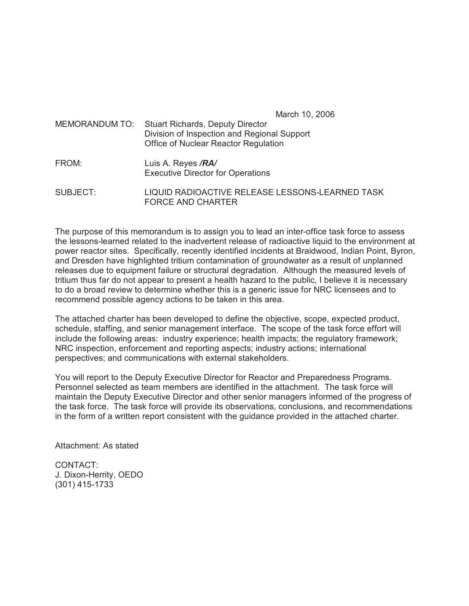March 10, 2006

- MEMORANDUM TO: Stuart Richards, Deputy Director Division of Inspection and Regional Support Office of Nuclear Reactor Regulation
- FROM: Luis A. Reyes */RA/* Executive Director for Operations
- SUBJECT: LIQUID RADIOACTIVE RELEASE LESSONS-LEARNED TASK FORCE AND CHARTER

The purpose of this memorandum is to assign you to lead an inter-office task force to assess the lessons-learned related to the inadvertent release of radioactive liquid to the environment at power reactor sites. Specifically, recently identified incidents at Braidwood, Indian Point, Byron, and Dresden have highlighted tritium contamination of groundwater as a result of unplanned releases due to equipment failure or structural degradation. Although the measured levels of tritium thus far do not appear to present a health hazard to the public, I believe it is necessary to do a broad review to determine whether this is a generic issue for NRC licensees and to recommend possible agency actions to be taken in this area.

The attached charter has been developed to define the objective, scope, expected product, schedule, staffing, and senior management interface. The scope of the task force effort will include the following areas: industry experience; health impacts; the regulatory framework; NRC inspection, enforcement and reporting aspects; industry actions; international perspectives; and communications with external stakeholders.

You will report to the Deputy Executive Director for Reactor and Preparedness Programs. Personnel selected as team members are identified in the attachment. The task force will maintain the Deputy Executive Director and other senior managers informed of the progress of the task force. The task force will provide its observations, conclusions, and recommendations in the form of a written report consistent with the guidance provided in the attached charter.

Attachment: As stated

CONTACT: J. Dixon-Herrity, OEDO (301) 415-1733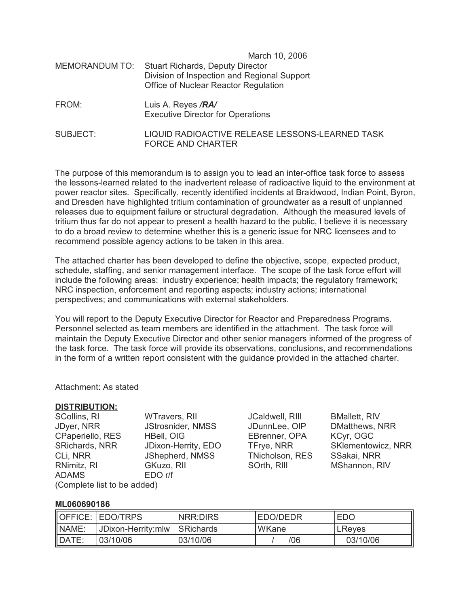| MEMORANDUM TO: | March 10, 2006<br><b>Stuart Richards, Deputy Director</b><br>Division of Inspection and Regional Support<br>Office of Nuclear Reactor Regulation |
|----------------|--------------------------------------------------------------------------------------------------------------------------------------------------|
| FROM:          | Luis A. Reyes /RA/<br><b>Executive Director for Operations</b>                                                                                   |
|                | . <del>. .</del>                                                                                                                                 |

SUBJECT: LIQUID RADIOACTIVE RELEASE LESSONS-LEARNED TASK FORCE AND CHARTER

The purpose of this memorandum is to assign you to lead an inter-office task force to assess the lessons-learned related to the inadvertent release of radioactive liquid to the environment at power reactor sites. Specifically, recently identified incidents at Braidwood, Indian Point, Byron, and Dresden have highlighted tritium contamination of groundwater as a result of unplanned releases due to equipment failure or structural degradation. Although the measured levels of tritium thus far do not appear to present a health hazard to the public, I believe it is necessary to do a broad review to determine whether this is a generic issue for NRC licensees and to recommend possible agency actions to be taken in this area.

The attached charter has been developed to define the objective, scope, expected product, schedule, staffing, and senior management interface. The scope of the task force effort will include the following areas: industry experience; health impacts; the regulatory framework; NRC inspection, enforcement and reporting aspects; industry actions; international perspectives; and communications with external stakeholders.

You will report to the Deputy Executive Director for Reactor and Preparedness Programs. Personnel selected as team members are identified in the attachment. The task force will maintain the Deputy Executive Director and other senior managers informed of the progress of the task force. The task force will provide its observations, conclusions, and recommendations in the form of a written report consistent with the guidance provided in the attached charter.

### Attachment: As stated

### **DISTRIBUTION:**

| <b>SCollins, RI</b>         | <b>WTravers, RII</b> |  |  |
|-----------------------------|----------------------|--|--|
| JDyer, NRR                  | JStrosnider, NMSS    |  |  |
| CPaperiello, RES            | <b>HBell, OIG</b>    |  |  |
| SRichards, NRR              | JDixon-Herrity, EDO  |  |  |
| CLI, NRR                    | JShepherd, NMSS      |  |  |
| RNimitz, RI                 | GKuzo, RII           |  |  |
| <b>ADAMS</b>                | EDO r/f              |  |  |
| (Complete list to be added) |                      |  |  |

JCaldwell, RIII BMallett, RIV EBrenner, OPA KCyr, OGC TNicholson, RES SSakai, NRR SOrth, RIII MShannon, RIV

JDunnLee, OIP DMatthews, NRR TFrye, NRR SKlementowicz, NRR

### **ML060690186**

| $\blacksquare$ OFFICE: | <b>IEDO/TRPS</b>   | <b>NRR:DIRS</b>   | IEDO/DEDR    | <b>EDO</b> |
|------------------------|--------------------|-------------------|--------------|------------|
| NAME:                  | JDixon-Herrity:mlw | <b>ISRichards</b> | <b>WKane</b> | LReyes     |
| $\blacksquare$ DATE:   | 03/10/06           | 03/10/06          | /06          | 03/10/06   |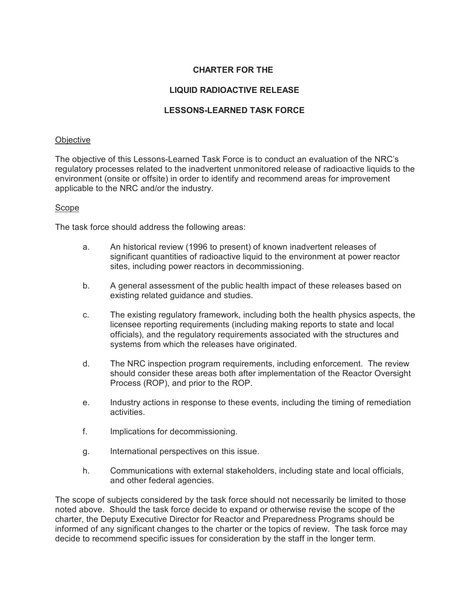## **CHARTER FOR THE**

# **LIQUID RADIOACTIVE RELEASE**

## **LESSONS-LEARNED TASK FORCE**

### **Objective**

The objective of this Lessons-Learned Task Force is to conduct an evaluation of the NRC's regulatory processes related to the inadvertent unmonitored release of radioactive liquids to the environment (onsite or offsite) in order to identify and recommend areas for improvement applicable to the NRC and/or the industry.

### Scope

The task force should address the following areas:

- a. An historical review (1996 to present) of known inadvertent releases of significant quantities of radioactive liquid to the environment at power reactor sites, including power reactors in decommissioning.
- b. A general assessment of the public health impact of these releases based on existing related guidance and studies.
- c. The existing regulatory framework, including both the health physics aspects, the licensee reporting requirements (including making reports to state and local officials), and the regulatory requirements associated with the structures and systems from which the releases have originated.
- d. The NRC inspection program requirements, including enforcement. The review should consider these areas both after implementation of the Reactor Oversight Process (ROP), and prior to the ROP.
- e. Industry actions in response to these events, including the timing of remediation activities.
- f. Implications for decommissioning.
- g. International perspectives on this issue.
- h. Communications with external stakeholders, including state and local officials, and other federal agencies.

The scope of subjects considered by the task force should not necessarily be limited to those noted above. Should the task force decide to expand or otherwise revise the scope of the charter, the Deputy Executive Director for Reactor and Preparedness Programs should be informed of any significant changes to the charter or the topics of review. The task force may decide to recommend specific issues for consideration by the staff in the longer term.